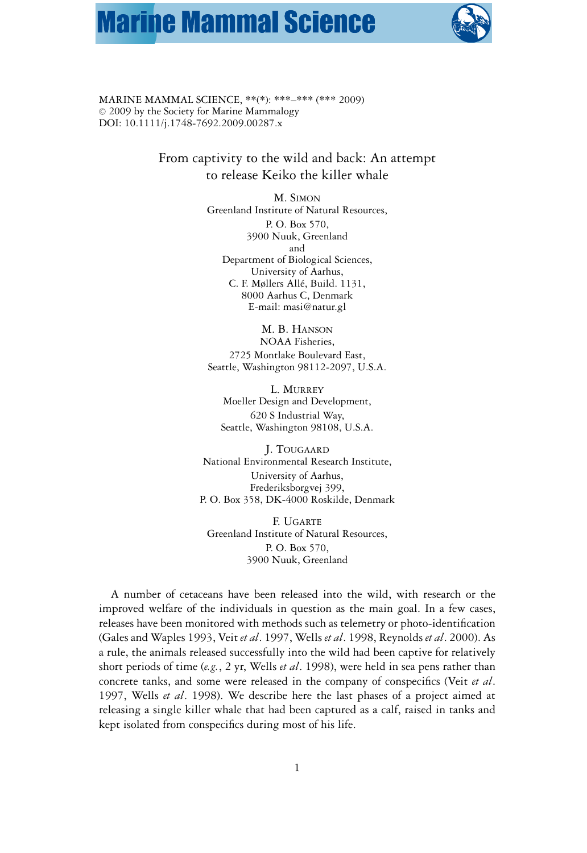# **Marine Mammal Science**



MARINE MAMMAL SCIENCE, \*\*(\*): \*\*\*–\*\*\* (\*\*\* 2009)  $© 2009$  by the Society for Marine Mammalogy DOI: 10.1111/j.1748-7692.2009.00287.x

> From captivity to the wild and back: An attempt to release Keiko the killer whale

> > M. SIMON Greenland Institute of Natural Resources, P. O. Box 570, 3900 Nuuk, Greenland and Department of Biological Sciences, University of Aarhus, C. F. Møllers Allé, Build. 1131, 8000 Aarhus C, Denmark E-mail: masi@natur.gl

M. B. HANSON NOAA Fisheries, 2725 Montlake Boulevard East,

Seattle, Washington 98112-2097, U.S.A.

L. MURREY Moeller Design and Development, 620 S Industrial Way, Seattle, Washington 98108, U.S.A.

J. TOUGAARD National Environmental Research Institute, University of Aarhus, Frederiksborgvej 399, P. O. Box 358, DK-4000 Roskilde, Denmark

F. UGARTE Greenland Institute of Natural Resources, P. O. Box 570, 3900 Nuuk, Greenland

A number of cetaceans have been released into the wild, with research or the improved welfare of the individuals in question as the main goal. In a few cases, releases have been monitored with methods such as telemetry or photo-identification (Gales and Waples 1993, Veit *et al*. 1997, Wells *et al*. 1998, Reynolds *et al*. 2000). As a rule, the animals released successfully into the wild had been captive for relatively short periods of time (*e.g.*, 2 yr, Wells *et al*. 1998), were held in sea pens rather than concrete tanks, and some were released in the company of conspecifics (Veit *et al*. 1997, Wells *et al*. 1998). We describe here the last phases of a project aimed at releasing a single killer whale that had been captured as a calf, raised in tanks and kept isolated from conspecifics during most of his life.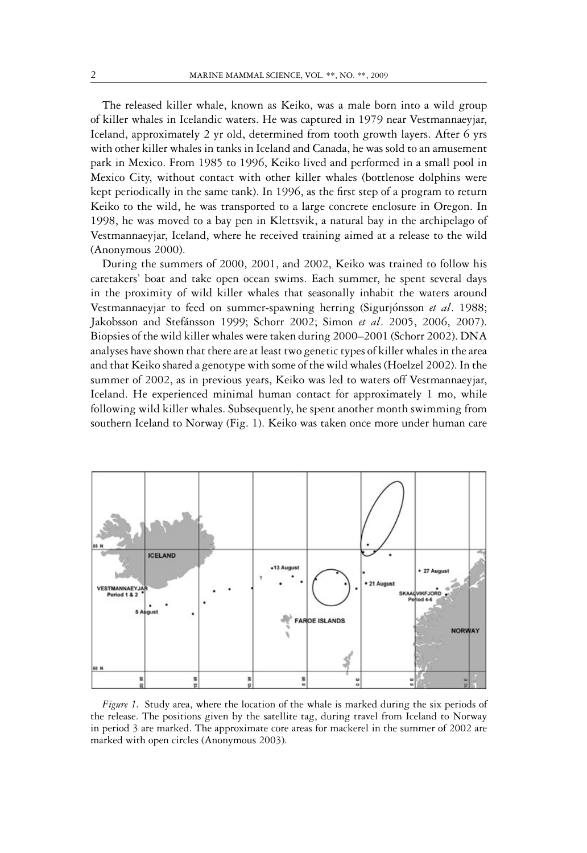The released killer whale, known as Keiko, was a male born into a wild group of killer whales in Icelandic waters. He was captured in 1979 near Vestmannaeyjar, Iceland, approximately 2 yr old, determined from tooth growth layers. After 6 yrs with other killer whales in tanks in Iceland and Canada, he was sold to an amusement park in Mexico. From 1985 to 1996, Keiko lived and performed in a small pool in Mexico City, without contact with other killer whales (bottlenose dolphins were kept periodically in the same tank). In 1996, as the first step of a program to return Keiko to the wild, he was transported to a large concrete enclosure in Oregon. In 1998, he was moved to a bay pen in Klettsvik, a natural bay in the archipelago of Vestmannaeyjar, Iceland, where he received training aimed at a release to the wild (Anonymous 2000).

During the summers of 2000, 2001, and 2002, Keiko was trained to follow his caretakers' boat and take open ocean swims. Each summer, he spent several days in the proximity of wild killer whales that seasonally inhabit the waters around Vestmannaeyjar to feed on summer-spawning herring (Sigurjónsson et al. 1988; Jakobsson and Stefánsson 1999; Schorr 2002; Simon et al. 2005, 2006, 2007). Biopsies of the wild killer whales were taken during 2000–2001 (Schorr 2002). DNA analyses have shown that there are at least two genetic types of killer whales in the area and that Keiko shared a genotype with some of the wild whales (Hoelzel 2002). In the summer of 2002, as in previous years, Keiko was led to waters off Vestmannaeyjar, Iceland. He experienced minimal human contact for approximately 1 mo, while following wild killer whales. Subsequently, he spent another month swimming from southern Iceland to Norway (Fig. 1). Keiko was taken once more under human care



*Figure 1.* Study area, where the location of the whale is marked during the six periods of the release. The positions given by the satellite tag, during travel from Iceland to Norway in period 3 are marked. The approximate core areas for mackerel in the summer of 2002 are marked with open circles (Anonymous 2003).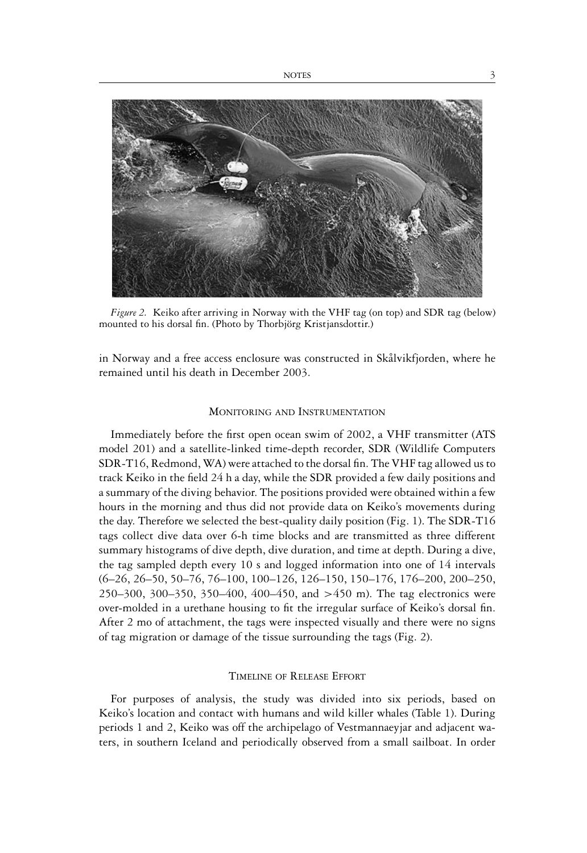

*Figure 2.* Keiko after arriving in Norway with the VHF tag (on top) and SDR tag (below) mounted to his dorsal fin. (Photo by Thorbjörg Kristjansdottir.)

in Norway and a free access enclosure was constructed in Skålvikfjorden, where he remained until his death in December 2003.

#### MONITORING AND INSTRUMENTATION

Immediately before the first open ocean swim of 2002, a VHF transmitter (ATS model 201) and a satellite-linked time-depth recorder, SDR (Wildlife Computers SDR-T16, Redmond, WA) were attached to the dorsal fin. The VHF tag allowed us to track Keiko in the field 24 h a day, while the SDR provided a few daily positions and a summary of the diving behavior. The positions provided were obtained within a few hours in the morning and thus did not provide data on Keiko's movements during the day. Therefore we selected the best-quality daily position (Fig. 1). The SDR-T16 tags collect dive data over 6-h time blocks and are transmitted as three different summary histograms of dive depth, dive duration, and time at depth. During a dive, the tag sampled depth every 10 s and logged information into one of 14 intervals (6–26, 26–50, 50–76, 76–100, 100–126, 126–150, 150–176, 176–200, 200–250, 250–300, 300–350, 350–400, 400–450, and >450 m). The tag electronics were over-molded in a urethane housing to fit the irregular surface of Keiko's dorsal fin. After 2 mo of attachment, the tags were inspected visually and there were no signs of tag migration or damage of the tissue surrounding the tags (Fig. 2).

#### TIMELINE OF RELEASE EFFORT

For purposes of analysis, the study was divided into six periods, based on Keiko's location and contact with humans and wild killer whales (Table 1). During periods 1 and 2, Keiko was off the archipelago of Vestmannaeyjar and adjacent waters, in southern Iceland and periodically observed from a small sailboat. In order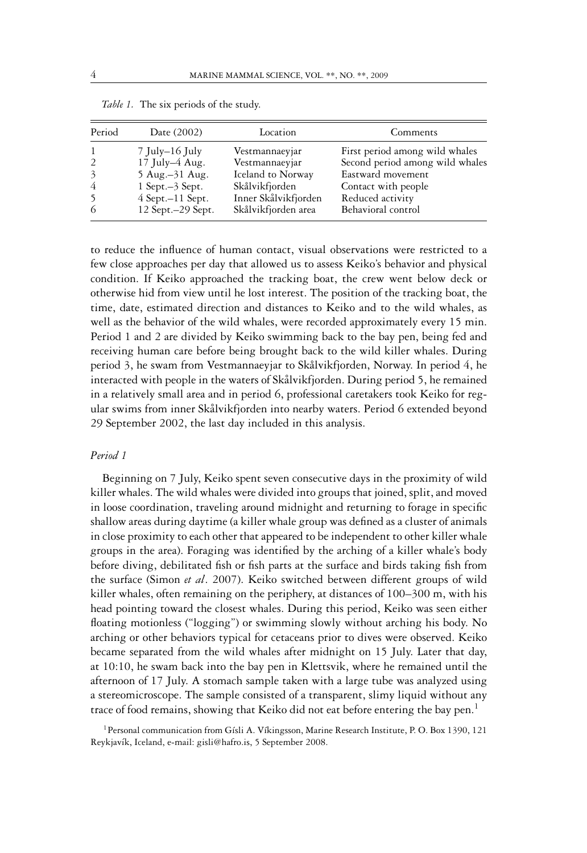| Period                  | Date (2002)           | Location             | Comments                        |
|-------------------------|-----------------------|----------------------|---------------------------------|
|                         | 7 July–16 July        | Vestmannaeyjar       | First period among wild whales  |
| $\mathcal{L}$           | 17 July $-4$ Aug.     | Vestmannaeyjar       | Second period among wild whales |
| $\overline{\mathbf{3}}$ | 5 Aug. -31 Aug.       | Iceland to Norway    | Eastward movement               |
| 4                       | $1$ Sept. $-3$ Sept.  | Skålvikfjorden       | Contact with people             |
| -5                      | $4$ Sept. $-11$ Sept. | Inner Skålvikfjorden | Reduced activity                |
| 6                       | 12 Sept. - 29 Sept.   | Skålvikfjorden area  | Behavioral control              |

*Table 1.* The six periods of the study.

to reduce the influence of human contact, visual observations were restricted to a few close approaches per day that allowed us to assess Keiko's behavior and physical condition. If Keiko approached the tracking boat, the crew went below deck or otherwise hid from view until he lost interest. The position of the tracking boat, the time, date, estimated direction and distances to Keiko and to the wild whales, as well as the behavior of the wild whales, were recorded approximately every 15 min. Period 1 and 2 are divided by Keiko swimming back to the bay pen, being fed and receiving human care before being brought back to the wild killer whales. During period 3, he swam from Vestmannaeyjar to Skålvikfjorden, Norway. In period 4, he interacted with people in the waters of Skålvikfjorden. During period 5, he remained in a relatively small area and in period 6, professional caretakers took Keiko for regular swims from inner Skålvikfjorden into nearby waters. Period 6 extended beyond 29 September 2002, the last day included in this analysis.

#### *Period 1*

Beginning on 7 July, Keiko spent seven consecutive days in the proximity of wild killer whales. The wild whales were divided into groups that joined, split, and moved in loose coordination, traveling around midnight and returning to forage in specific shallow areas during daytime (a killer whale group was defined as a cluster of animals in close proximity to each other that appeared to be independent to other killer whale groups in the area). Foraging was identified by the arching of a killer whale's body before diving, debilitated fish or fish parts at the surface and birds taking fish from the surface (Simon *et al*. 2007). Keiko switched between different groups of wild killer whales, often remaining on the periphery, at distances of 100–300 m, with his head pointing toward the closest whales. During this period, Keiko was seen either floating motionless ("logging") or swimming slowly without arching his body. No arching or other behaviors typical for cetaceans prior to dives were observed. Keiko became separated from the wild whales after midnight on 15 July. Later that day, at 10:10, he swam back into the bay pen in Klettsvik, where he remained until the afternoon of 17 July. A stomach sample taken with a large tube was analyzed using a stereomicroscope. The sample consisted of a transparent, slimy liquid without any trace of food remains, showing that Keiko did not eat before entering the bay pen.<sup>1</sup>

<sup>1</sup> Personal communication from Gísli A. Víkingsson, Marine Research Institute, P. O. Box 1390, 121 Reykjavík, Iceland, e-mail: gisli@hafro.is, 5 September 2008.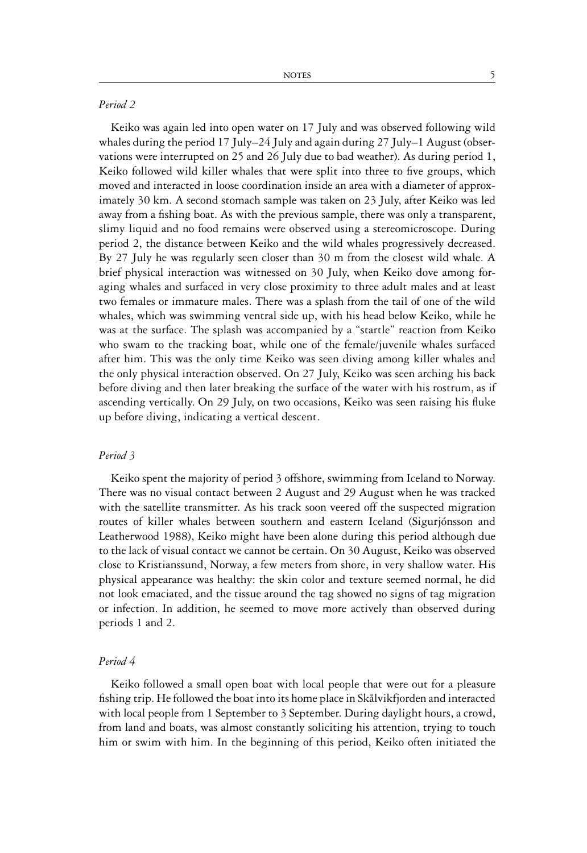# *Period 2*

Keiko was again led into open water on 17 July and was observed following wild whales during the period 17 July–24 July and again during 27 July–1 August (observations were interrupted on 25 and 26 July due to bad weather). As during period 1, Keiko followed wild killer whales that were split into three to five groups, which moved and interacted in loose coordination inside an area with a diameter of approximately 30 km. A second stomach sample was taken on 23 July, after Keiko was led away from a fishing boat. As with the previous sample, there was only a transparent, slimy liquid and no food remains were observed using a stereomicroscope. During period 2, the distance between Keiko and the wild whales progressively decreased. By 27 July he was regularly seen closer than 30 m from the closest wild whale. A brief physical interaction was witnessed on 30 July, when Keiko dove among foraging whales and surfaced in very close proximity to three adult males and at least two females or immature males. There was a splash from the tail of one of the wild whales, which was swimming ventral side up, with his head below Keiko, while he was at the surface. The splash was accompanied by a "startle" reaction from Keiko who swam to the tracking boat, while one of the female/juvenile whales surfaced after him. This was the only time Keiko was seen diving among killer whales and the only physical interaction observed. On 27 July, Keiko was seen arching his back before diving and then later breaking the surface of the water with his rostrum, as if ascending vertically. On 29 July, on two occasions, Keiko was seen raising his fluke up before diving, indicating a vertical descent.

# *Period 3*

Keiko spent the majority of period 3 offshore, swimming from Iceland to Norway. There was no visual contact between 2 August and 29 August when he was tracked with the satellite transmitter. As his track soon veered off the suspected migration routes of killer whales between southern and eastern Iceland (Sigurjónsson and Leatherwood 1988), Keiko might have been alone during this period although due to the lack of visual contact we cannot be certain. On 30 August, Keiko was observed close to Kristianssund, Norway, a few meters from shore, in very shallow water. His physical appearance was healthy: the skin color and texture seemed normal, he did not look emaciated, and the tissue around the tag showed no signs of tag migration or infection. In addition, he seemed to move more actively than observed during periods 1 and 2.

# *Period 4*

Keiko followed a small open boat with local people that were out for a pleasure fishing trip. He followed the boat into its home place in Skålvikfjorden and interacted with local people from 1 September to 3 September. During daylight hours, a crowd, from land and boats, was almost constantly soliciting his attention, trying to touch him or swim with him. In the beginning of this period, Keiko often initiated the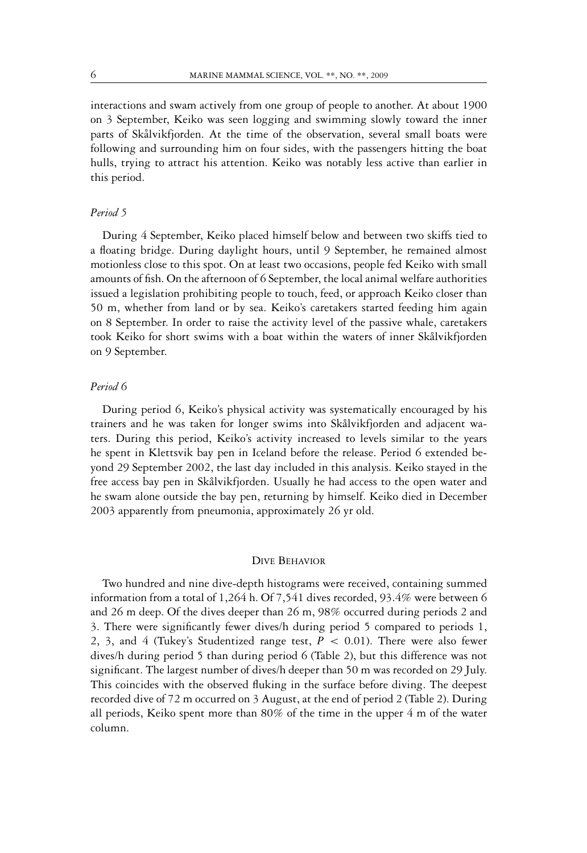interactions and swam actively from one group of people to another. At about 1900 on 3 September, Keiko was seen logging and swimming slowly toward the inner parts of Skålvikfjorden. At the time of the observation, several small boats were following and surrounding him on four sides, with the passengers hitting the boat hulls, trying to attract his attention. Keiko was notably less active than earlier in this period.

## *Period 5*

During 4 September, Keiko placed himself below and between two skiffs tied to a floating bridge. During daylight hours, until 9 September, he remained almost motionless close to this spot. On at least two occasions, people fed Keiko with small amounts of fish. On the afternoon of 6 September, the local animal welfare authorities issued a legislation prohibiting people to touch, feed, or approach Keiko closer than 50 m, whether from land or by sea. Keiko's caretakers started feeding him again on 8 September. In order to raise the activity level of the passive whale, caretakers took Keiko for short swims with a boat within the waters of inner Skålvikfjorden on 9 September.

# *Period 6*

During period 6, Keiko's physical activity was systematically encouraged by his trainers and he was taken for longer swims into Skålvikfjorden and adjacent waters. During this period, Keiko's activity increased to levels similar to the years he spent in Klettsvik bay pen in Iceland before the release. Period 6 extended beyond 29 September 2002, the last day included in this analysis. Keiko stayed in the free access bay pen in Skålvikfjorden. Usually he had access to the open water and he swam alone outside the bay pen, returning by himself. Keiko died in December 2003 apparently from pneumonia, approximately 26 yr old.

# DIVE BEHAVIOR

Two hundred and nine dive-depth histograms were received, containing summed information from a total of 1,264 h. Of 7,541 dives recorded, 93.4% were between 6 and 26 m deep. Of the dives deeper than 26 m, 98% occurred during periods 2 and 3. There were significantly fewer dives/h during period 5 compared to periods 1, 2, 3, and 4 (Tukey's Studentized range test,  $P < 0.01$ ). There were also fewer dives/h during period 5 than during period 6 (Table 2), but this difference was not significant. The largest number of dives/h deeper than 50 m was recorded on 29 July. This coincides with the observed fluking in the surface before diving. The deepest recorded dive of 72 m occurred on 3 August, at the end of period 2 (Table 2). During all periods, Keiko spent more than 80% of the time in the upper 4 m of the water column.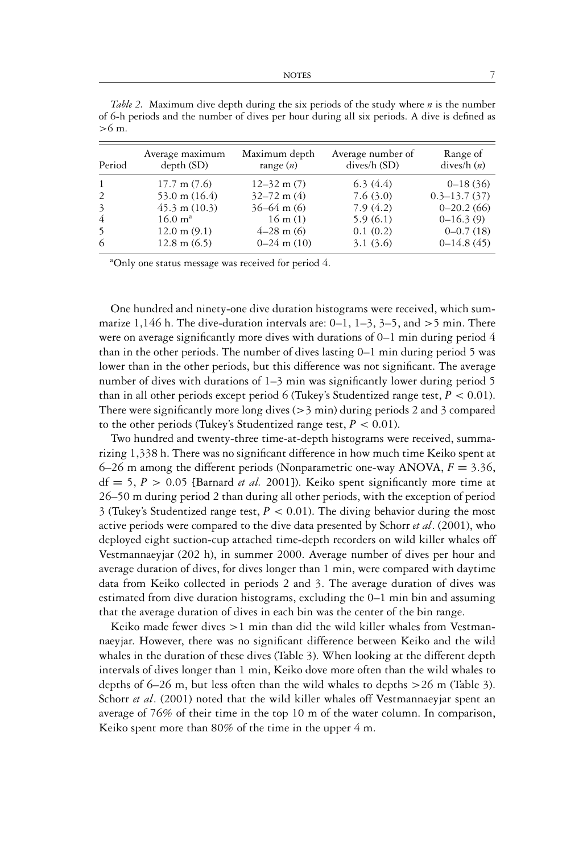| Period | Average maximum<br>depth(SD)      | Maximum depth<br>range $(n)$ | Average number of<br>dives/h (SD) | Range of<br>dives/ $h(n)$ |
|--------|-----------------------------------|------------------------------|-----------------------------------|---------------------------|
| -1     | $17.7 \text{ m} (7.6)$            | $12 - 32$ m $(7)$            | 6.3(4.4)                          | $0-18(36)$                |
| 2      | 53.0 m $(16.4)$                   | $32 - 72$ m (4)              | 7.6(3.0)                          | $0.3 - 13.7(37)$          |
| 3      | $45.3 \text{ m } (10.3)$          | $36 - 64$ m (6)              | 7.9(4.2)                          | $0 - 20.2(66)$            |
| 4      | $16.0 \; \mathrm{m}^{\mathrm{a}}$ | $16 \text{ m} (1)$           | 5.9(6.1)                          | $0-16.3(9)$               |
| 5      | $12.0 \text{ m} (9.1)$            | $4-28$ m (6)                 | 0.1(0.2)                          | $0 - 0.7(18)$             |
| 6      | $12.8 \text{ m } (6.5)$           | $0-24$ m $(10)$              | 3.1(3.6)                          | $0-14.8(45)$              |

*Table 2.* Maximum dive depth during the six periods of the study where *n* is the number of 6-h periods and the number of dives per hour during all six periods. A dive is defined as >6 m.

<sup>a</sup>Only one status message was received for period 4.

One hundred and ninety-one dive duration histograms were received, which summarize 1,146 h. The dive-duration intervals are:  $0-1$ ,  $1-3$ ,  $3-5$ , and  $>5$  min. There were on average significantly more dives with durations of  $0-1$  min during period 4 than in the other periods. The number of dives lasting 0–1 min during period 5 was lower than in the other periods, but this difference was not significant. The average number of dives with durations of 1–3 min was significantly lower during period 5 than in all other periods except period 6 (Tukey's Studentized range test,  $P < 0.01$ ). There were significantly more long dives  $(>\frac{3}{2}$  min) during periods 2 and 3 compared to the other periods (Tukey's Studentized range test,  $P < 0.01$ ).

Two hundred and twenty-three time-at-depth histograms were received, summarizing 1,338 h. There was no significant difference in how much time Keiko spent at 6–26 m among the different periods (Nonparametric one-way ANOVA,  $F = 3.36$ ,  $df = 5, P > 0.05$  [Barnard *et al.* 2001]). Keiko spent significantly more time at 26–50 m during period 2 than during all other periods, with the exception of period 3 (Tukey's Studentized range test,  $P < 0.01$ ). The diving behavior during the most active periods were compared to the dive data presented by Schorr *et al*. (2001), who deployed eight suction-cup attached time-depth recorders on wild killer whales off Vestmannaeyjar (202 h), in summer 2000. Average number of dives per hour and average duration of dives, for dives longer than 1 min, were compared with daytime data from Keiko collected in periods 2 and 3. The average duration of dives was estimated from dive duration histograms, excluding the 0–1 min bin and assuming that the average duration of dives in each bin was the center of the bin range.

Keiko made fewer dives  $>1$  min than did the wild killer whales from Vestmannaeyjar. However, there was no significant difference between Keiko and the wild whales in the duration of these dives (Table 3). When looking at the different depth intervals of dives longer than 1 min, Keiko dove more often than the wild whales to depths of  $6-26$  m, but less often than the wild whales to depths  $>26$  m (Table 3). Schorr *et al.* (2001) noted that the wild killer whales off Vestmannaeyjar spent an average of 76% of their time in the top 10 m of the water column. In comparison, Keiko spent more than 80% of the time in the upper 4 m.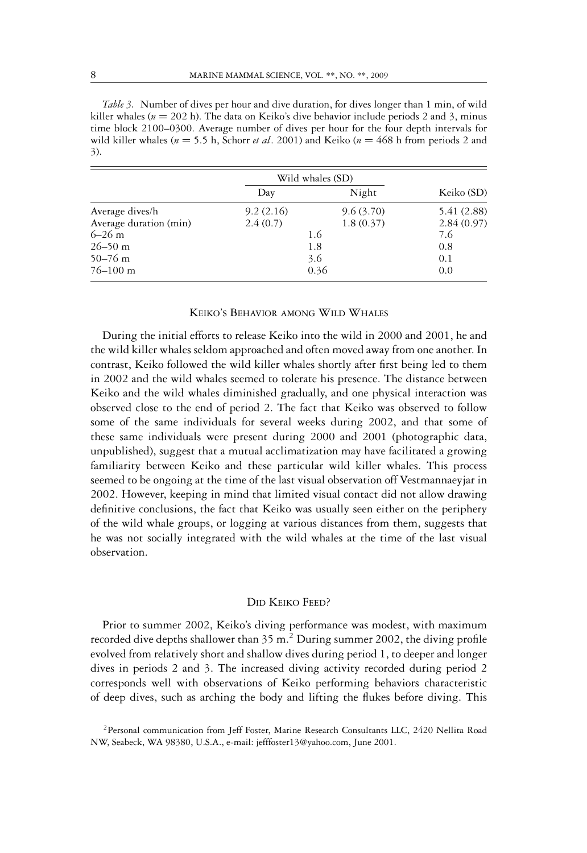*Table 3.* Number of dives per hour and dive duration, for dives longer than 1 min, of wild killer whales ( $n = 202$  h). The data on Keiko's dive behavior include periods 2 and 3, minus time block 2100–0300. Average number of dives per hour for the four depth intervals for wild killer whales (*n* = 5.5 h, Schorr *et al*. 2001) and Keiko (*n* = 468 h from periods 2 and 3).

|                        | Wild whales (SD) |           |             |
|------------------------|------------------|-----------|-------------|
|                        | Day              | Night     | Keiko (SD)  |
| Average dives/h        | 9.2(2.16)        | 9.6(3.70) | 5.41 (2.88) |
| Average duration (min) | 2.4(0.7)         | 1.8(0.37) | 2.84(0.97)  |
| $6 - 26$ m             | 1.6              |           | 7.6         |
| $26 - 50$ m            | 1.8              |           | 0.8         |
| $50 - 76$ m            | 3.6              |           | 0.1         |
| $76 - 100$ m           |                  | 0.36      | 0.0         |

## KEIKO'S BEHAVIOR AMONG WILD WHALES

During the initial efforts to release Keiko into the wild in 2000 and 2001, he and the wild killer whales seldom approached and often moved away from one another. In contrast, Keiko followed the wild killer whales shortly after first being led to them in 2002 and the wild whales seemed to tolerate his presence. The distance between Keiko and the wild whales diminished gradually, and one physical interaction was observed close to the end of period 2. The fact that Keiko was observed to follow some of the same individuals for several weeks during 2002, and that some of these same individuals were present during 2000 and 2001 (photographic data, unpublished), suggest that a mutual acclimatization may have facilitated a growing familiarity between Keiko and these particular wild killer whales. This process seemed to be ongoing at the time of the last visual observation off Vestmannaeyjar in 2002. However, keeping in mind that limited visual contact did not allow drawing definitive conclusions, the fact that Keiko was usually seen either on the periphery of the wild whale groups, or logging at various distances from them, suggests that he was not socially integrated with the wild whales at the time of the last visual observation.

# DID KEIKO FEED?

Prior to summer 2002, Keiko's diving performance was modest, with maximum recorded dive depths shallower than  $35 \text{ m}^2$ . During summer 2002, the diving profile evolved from relatively short and shallow dives during period 1, to deeper and longer dives in periods 2 and 3. The increased diving activity recorded during period 2 corresponds well with observations of Keiko performing behaviors characteristic of deep dives, such as arching the body and lifting the flukes before diving. This

<sup>&</sup>lt;sup>2</sup> Personal communication from Jeff Foster, Marine Research Consultants LLC, 2420 Nellita Road NW, Seabeck, WA 98380, U.S.A., e-mail: jefffoster13@yahoo.com, June 2001.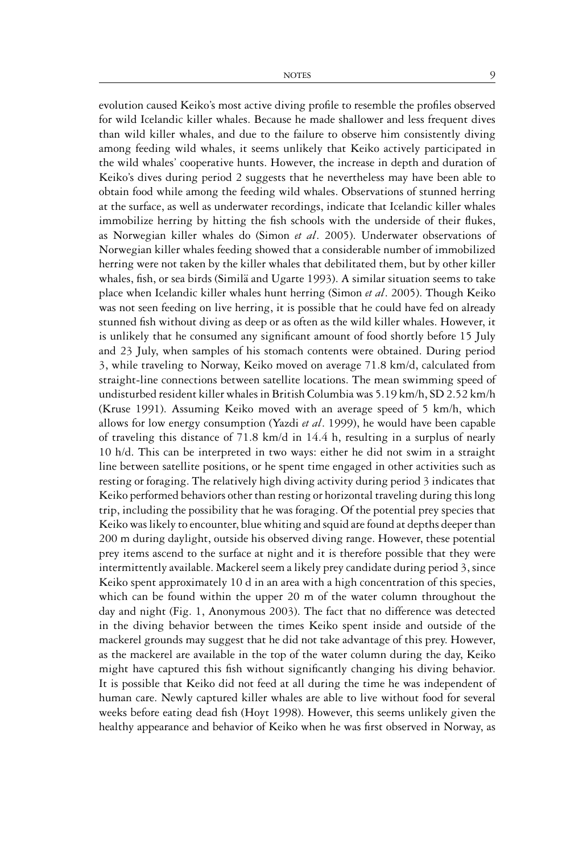evolution caused Keiko's most active diving profile to resemble the profiles observed for wild Icelandic killer whales. Because he made shallower and less frequent dives than wild killer whales, and due to the failure to observe him consistently diving among feeding wild whales, it seems unlikely that Keiko actively participated in the wild whales' cooperative hunts. However, the increase in depth and duration of Keiko's dives during period 2 suggests that he nevertheless may have been able to obtain food while among the feeding wild whales. Observations of stunned herring at the surface, as well as underwater recordings, indicate that Icelandic killer whales immobilize herring by hitting the fish schools with the underside of their flukes, as Norwegian killer whales do (Simon *et al*. 2005). Underwater observations of Norwegian killer whales feeding showed that a considerable number of immobilized herring were not taken by the killer whales that debilitated them, but by other killer whales, fish, or sea birds (Similä and Ugarte 1993). A similar situation seems to take place when Icelandic killer whales hunt herring (Simon *et al*. 2005). Though Keiko was not seen feeding on live herring, it is possible that he could have fed on already stunned fish without diving as deep or as often as the wild killer whales. However, it is unlikely that he consumed any significant amount of food shortly before 15 July and 23 July, when samples of his stomach contents were obtained. During period 3, while traveling to Norway, Keiko moved on average 71.8 km/d, calculated from straight-line connections between satellite locations. The mean swimming speed of undisturbed resident killer whales in British Columbia was 5.19 km/h, SD 2.52 km/h (Kruse 1991). Assuming Keiko moved with an average speed of 5 km/h, which allows for low energy consumption (Yazdi *et al*. 1999), he would have been capable of traveling this distance of 71.8 km/d in 14.4 h, resulting in a surplus of nearly 10 h/d. This can be interpreted in two ways: either he did not swim in a straight line between satellite positions, or he spent time engaged in other activities such as resting or foraging. The relatively high diving activity during period 3 indicates that Keiko performed behaviors other than resting or horizontal traveling during this long trip, including the possibility that he was foraging. Of the potential prey species that Keiko was likely to encounter, blue whiting and squid are found at depths deeper than 200 m during daylight, outside his observed diving range. However, these potential prey items ascend to the surface at night and it is therefore possible that they were intermittently available. Mackerel seem a likely prey candidate during period 3, since Keiko spent approximately 10 d in an area with a high concentration of this species, which can be found within the upper 20 m of the water column throughout the day and night (Fig. 1, Anonymous 2003). The fact that no difference was detected in the diving behavior between the times Keiko spent inside and outside of the mackerel grounds may suggest that he did not take advantage of this prey. However, as the mackerel are available in the top of the water column during the day, Keiko might have captured this fish without significantly changing his diving behavior. It is possible that Keiko did not feed at all during the time he was independent of human care. Newly captured killer whales are able to live without food for several

weeks before eating dead fish (Hoyt 1998). However, this seems unlikely given the healthy appearance and behavior of Keiko when he was first observed in Norway, as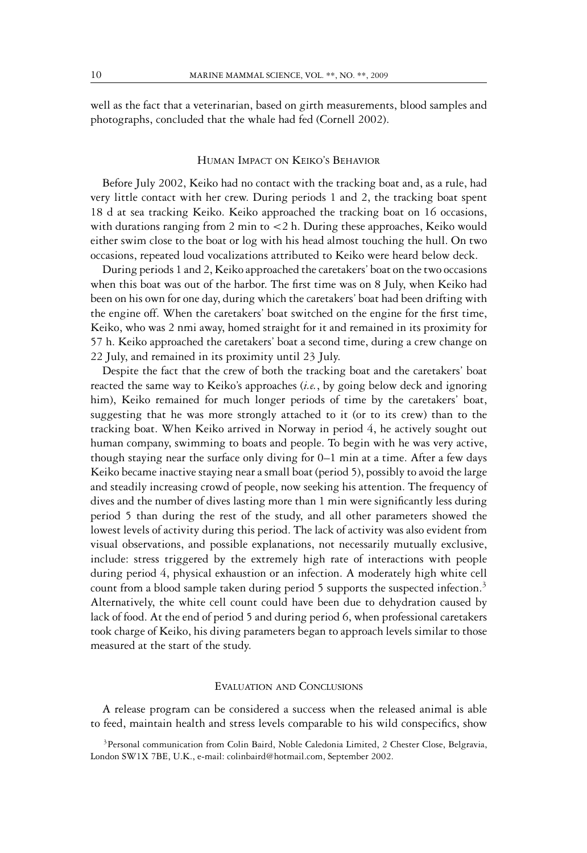well as the fact that a veterinarian, based on girth measurements, blood samples and photographs, concluded that the whale had fed (Cornell 2002).

#### HUMAN IMPACT ON KEIKO'S BEHAVIOR

Before July 2002, Keiko had no contact with the tracking boat and, as a rule, had very little contact with her crew. During periods 1 and 2, the tracking boat spent 18 d at sea tracking Keiko. Keiko approached the tracking boat on 16 occasions, with durations ranging from 2 min to <2 h. During these approaches, Keiko would either swim close to the boat or log with his head almost touching the hull. On two occasions, repeated loud vocalizations attributed to Keiko were heard below deck.

During periods 1 and 2, Keiko approached the caretakers' boat on the two occasions when this boat was out of the harbor. The first time was on 8 July, when Keiko had been on his own for one day, during which the caretakers' boat had been drifting with the engine off. When the caretakers' boat switched on the engine for the first time, Keiko, who was 2 nmi away, homed straight for it and remained in its proximity for 57 h. Keiko approached the caretakers' boat a second time, during a crew change on 22 July, and remained in its proximity until 23 July.

Despite the fact that the crew of both the tracking boat and the caretakers' boat reacted the same way to Keiko's approaches (*i.e.*, by going below deck and ignoring him), Keiko remained for much longer periods of time by the caretakers' boat, suggesting that he was more strongly attached to it (or to its crew) than to the tracking boat. When Keiko arrived in Norway in period 4, he actively sought out human company, swimming to boats and people. To begin with he was very active, though staying near the surface only diving for  $0-1$  min at a time. After a few days Keiko became inactive staying near a small boat (period 5), possibly to avoid the large and steadily increasing crowd of people, now seeking his attention. The frequency of dives and the number of dives lasting more than 1 min were significantly less during period 5 than during the rest of the study, and all other parameters showed the lowest levels of activity during this period. The lack of activity was also evident from visual observations, and possible explanations, not necessarily mutually exclusive, include: stress triggered by the extremely high rate of interactions with people during period 4, physical exhaustion or an infection. A moderately high white cell count from a blood sample taken during period 5 supports the suspected infection.<sup>3</sup> Alternatively, the white cell count could have been due to dehydration caused by lack of food. At the end of period 5 and during period 6, when professional caretakers took charge of Keiko, his diving parameters began to approach levels similar to those measured at the start of the study.

## EVALUATION AND CONCLUSIONS

A release program can be considered a success when the released animal is able to feed, maintain health and stress levels comparable to his wild conspecifics, show

<sup>&</sup>lt;sup>3</sup>Personal communication from Colin Baird, Noble Caledonia Limited, 2 Chester Close, Belgravia, London SW1X 7BE, U.K., e-mail: colinbaird@hotmail.com, September 2002.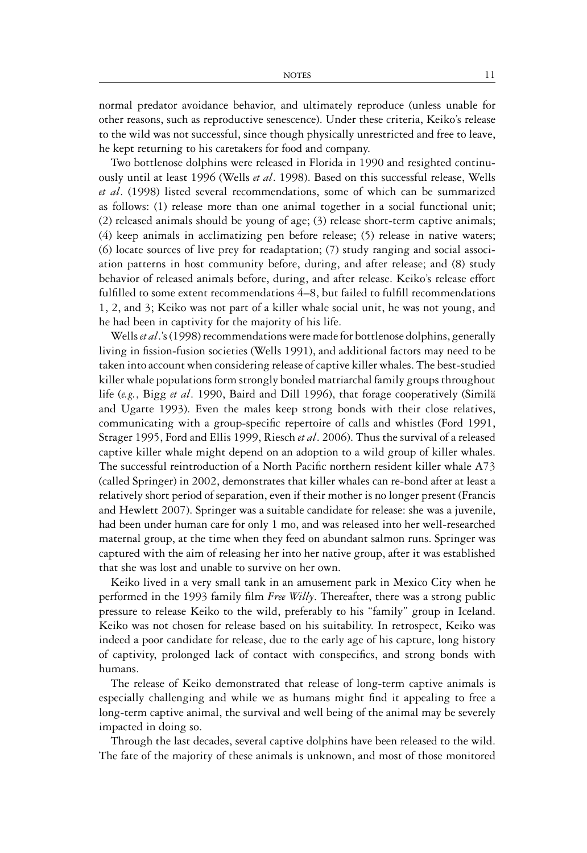normal predator avoidance behavior, and ultimately reproduce (unless unable for other reasons, such as reproductive senescence). Under these criteria, Keiko's release to the wild was not successful, since though physically unrestricted and free to leave, he kept returning to his caretakers for food and company.

Two bottlenose dolphins were released in Florida in 1990 and resighted continuously until at least 1996 (Wells *et al*. 1998). Based on this successful release, Wells *et al*. (1998) listed several recommendations, some of which can be summarized as follows: (1) release more than one animal together in a social functional unit; (2) released animals should be young of age; (3) release short-term captive animals; (4) keep animals in acclimatizing pen before release; (5) release in native waters; (6) locate sources of live prey for readaptation; (7) study ranging and social association patterns in host community before, during, and after release; and (8) study behavior of released animals before, during, and after release. Keiko's release effort fulfilled to some extent recommendations 4–8, but failed to fulfill recommendations 1, 2, and 3; Keiko was not part of a killer whale social unit, he was not young, and he had been in captivity for the majority of his life.

Wells*et al*.'s (1998) recommendations were made for bottlenose dolphins, generally living in fission-fusion societies (Wells 1991), and additional factors may need to be taken into account when considering release of captive killer whales. The best-studied killer whale populations form strongly bonded matriarchal family groups throughout life (*e.g.*, Bigg *et al*. 1990, Baird and Dill 1996), that forage cooperatively (Simila¨ and Ugarte 1993). Even the males keep strong bonds with their close relatives, communicating with a group-specific repertoire of calls and whistles (Ford 1991, Strager 1995, Ford and Ellis 1999, Riesch *et al*. 2006). Thus the survival of a released captive killer whale might depend on an adoption to a wild group of killer whales. The successful reintroduction of a North Pacific northern resident killer whale A73 (called Springer) in 2002, demonstrates that killer whales can re-bond after at least a relatively short period of separation, even if their mother is no longer present (Francis and Hewlett 2007). Springer was a suitable candidate for release: she was a juvenile, had been under human care for only 1 mo, and was released into her well-researched maternal group, at the time when they feed on abundant salmon runs. Springer was captured with the aim of releasing her into her native group, after it was established that she was lost and unable to survive on her own.

Keiko lived in a very small tank in an amusement park in Mexico City when he performed in the 1993 family film *Free Willy*. Thereafter, there was a strong public pressure to release Keiko to the wild, preferably to his "family" group in Iceland. Keiko was not chosen for release based on his suitability. In retrospect, Keiko was indeed a poor candidate for release, due to the early age of his capture, long history of captivity, prolonged lack of contact with conspecifics, and strong bonds with humans.

The release of Keiko demonstrated that release of long-term captive animals is especially challenging and while we as humans might find it appealing to free a long-term captive animal, the survival and well being of the animal may be severely impacted in doing so.

Through the last decades, several captive dolphins have been released to the wild. The fate of the majority of these animals is unknown, and most of those monitored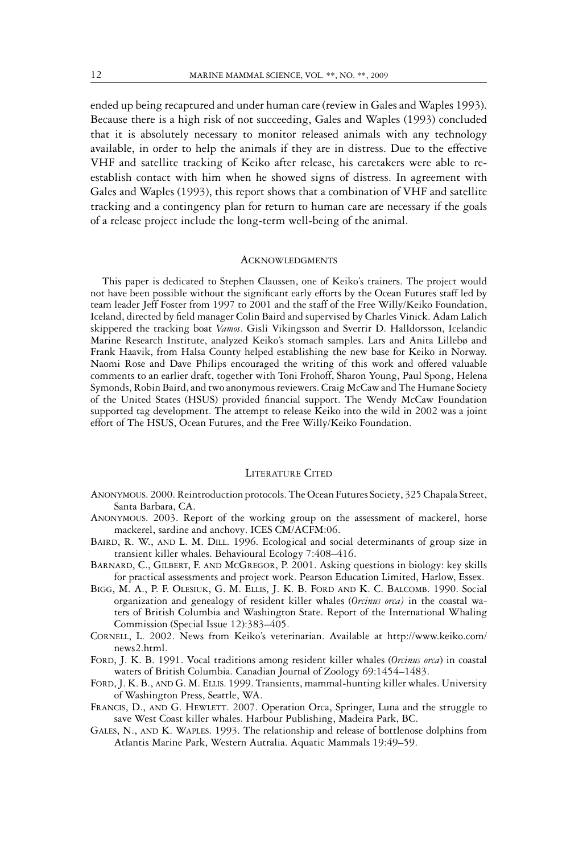ended up being recaptured and under human care (review in Gales and Waples 1993). Because there is a high risk of not succeeding, Gales and Waples (1993) concluded that it is absolutely necessary to monitor released animals with any technology available, in order to help the animals if they are in distress. Due to the effective VHF and satellite tracking of Keiko after release, his caretakers were able to reestablish contact with him when he showed signs of distress. In agreement with Gales and Waples (1993), this report shows that a combination of VHF and satellite tracking and a contingency plan for return to human care are necessary if the goals of a release project include the long-term well-being of the animal.

## **ACKNOWLEDGMENTS**

This paper is dedicated to Stephen Claussen, one of Keiko's trainers. The project would not have been possible without the significant early efforts by the Ocean Futures staff led by team leader Jeff Foster from 1997 to 2001 and the staff of the Free Willy/Keiko Foundation, Iceland, directed by field manager Colin Baird and supervised by Charles Vinick. Adam Lalich skippered the tracking boat *Vamos*. Gisli Vikingsson and Sverrir D. Halldorsson, Icelandic Marine Research Institute, analyzed Keiko's stomach samples. Lars and Anita Lillebø and Frank Haavik, from Halsa County helped establishing the new base for Keiko in Norway. Naomi Rose and Dave Philips encouraged the writing of this work and offered valuable comments to an earlier draft, together with Toni Frohoff, Sharon Young, Paul Spong, Helena Symonds, Robin Baird, and two anonymous reviewers. Craig McCaw and The Humane Society of the United States (HSUS) provided financial support. The Wendy McCaw Foundation supported tag development. The attempt to release Keiko into the wild in 2002 was a joint effort of The HSUS, Ocean Futures, and the Free Willy/Keiko Foundation.

# LITERATURE CITED

- ANONYMOUS. 2000. Reintroduction protocols. The Ocean Futures Society, 325 Chapala Street, Santa Barbara, CA.
- ANONYMOUS. 2003. Report of the working group on the assessment of mackerel, horse mackerel, sardine and anchovy. ICES CM/ACFM:06.
- BAIRD, R. W., AND L. M. DILL. 1996. Ecological and social determinants of group size in transient killer whales. Behavioural Ecology 7:408–416.
- BARNARD, C., GILBERT, F. AND MCGREGOR, P. 2001. Asking questions in biology: key skills for practical assessments and project work. Pearson Education Limited, Harlow, Essex.
- BIGG, M. A., P. F. OLESIUK, G. M. ELLIS, J. K. B. FORD AND K. C. BALCOMB. 1990. Social organization and genealogy of resident killer whales (*Orcinus orca)* in the coastal waters of British Columbia and Washington State. Report of the International Whaling Commission (Special Issue 12):383–405.
- CORNELL, L. 2002. News from Keiko's veterinarian. Available at http://www.keiko.com/ news2.html.
- FORD, J. K. B. 1991. Vocal traditions among resident killer whales (*Orcinus orca*) in coastal waters of British Columbia. Canadian Journal of Zoology 69:1454–1483.
- FORD, J. K. B., AND G. M. ELLIS. 1999. Transients, mammal-hunting killer whales. University of Washington Press, Seattle, WA.
- FRANCIS, D., AND G. HEWLETT. 2007. Operation Orca, Springer, Luna and the struggle to save West Coast killer whales. Harbour Publishing, Madeira Park, BC.
- GALES, N., AND K. WAPLES. 1993. The relationship and release of bottlenose dolphins from Atlantis Marine Park, Western Autralia. Aquatic Mammals 19:49–59.